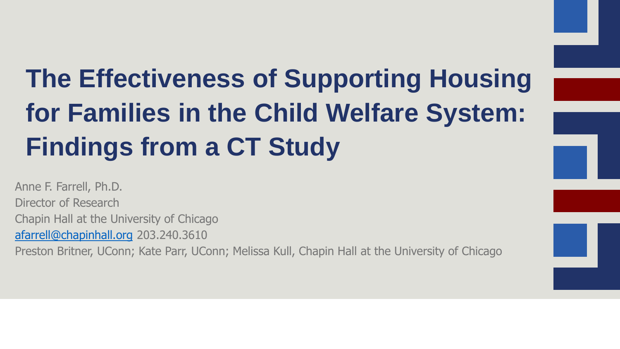# **The Effectiveness of Supporting Housing for Families in the Child Welfare System: Findings from a CT Study**

Anne F. Farrell, Ph.D. Director of Research Chapin Hall at the University of Chicago [afarrell@chapinhall.org](mailto:afarrell@chapinhall.org) 203.240.3610 Preston Britner, UConn; Kate Parr, UConn; Melissa Kull, Chapin Hall at the University of Chicago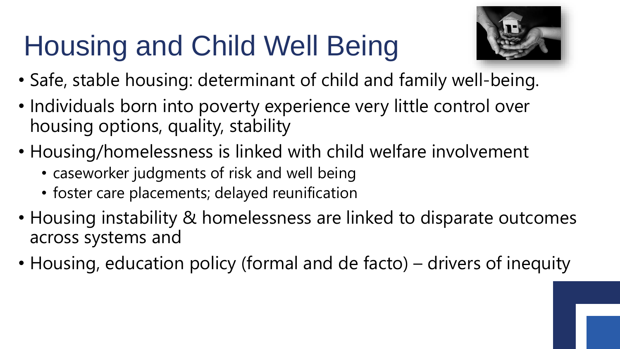# Housing and Child Well Being



- Safe, stable housing: determinant of child and family well-being.
- Individuals born into poverty experience very little control over housing options, quality, stability
- Housing/homelessness is linked with child welfare involvement
	- caseworker judgments of risk and well being
	- foster care placements; delayed reunification
- Housing instability & homelessness are linked to disparate outcomes across systems and
- Housing, education policy (formal and de facto) drivers of inequity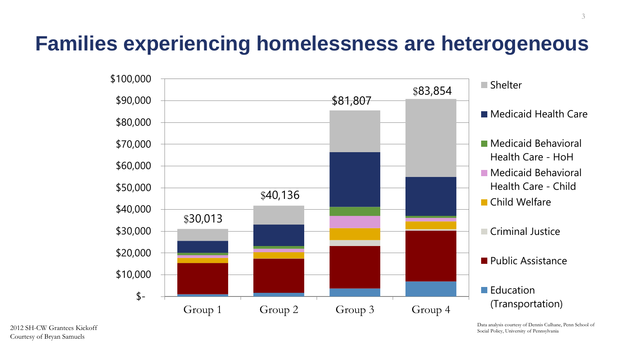## **Families experiencing homelessness are heterogeneous**



Data analysis courtesy of Dennis Culhane, Penn School of Social Policy, University of Pennsylvania

3

2012 SH-CW Grantees Kickoff Courtesy of Bryan Samuels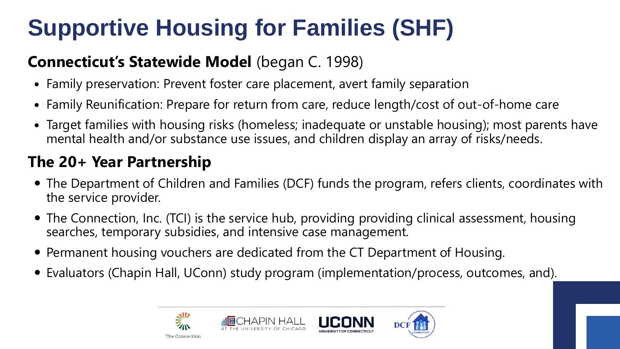# **Supportive Housing for Families (SHF)**

### **Connecticut's Statewide Model** (began C. 1998)

- Family preservation: Prevent foster care placement, avert family separation
- Family Reunification: Prepare for return from care, reduce length/cost of out-of-home care
- Target families with housing risks (homeless; inadequate or unstable housing); most parents have mental health and/or substance use issues, and children display an array of risks/needs.

### **The 20+ Year Partnership**

- The Department of Children and Families (DCF) funds the program, refers clients, coordinates with the service provider.
- The Connection, Inc. (TCI) is the service hub, providing providing clinical assessment, housing searches, temporary subsidies, and intensive case management.
- Permanent housing vouchers are dedicated from the CT Department of Housing.
- Evaluators (Chapin Hall, UConn) study program (implementation/process, outcomes, and).

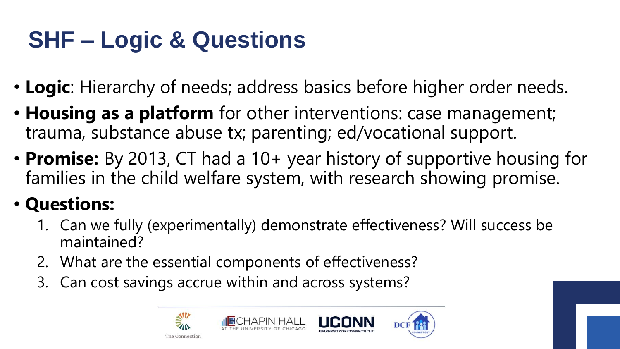# **SHF – Logic & Questions**

- **Logic**: Hierarchy of needs; address basics before higher order needs.
- **Housing as a platform** for other interventions: case management; trauma, substance abuse tx; parenting; ed/vocational support.
- **Promise:** By 2013, CT had a 10+ year history of supportive housing for families in the child welfare system, with research showing promise.

## • **Questions:**

- 1. Can we fully (experimentally) demonstrate effectiveness? Will success be maintained?
- 2. What are the essential components of effectiveness?
- 3. Can cost savings accrue within and across systems?

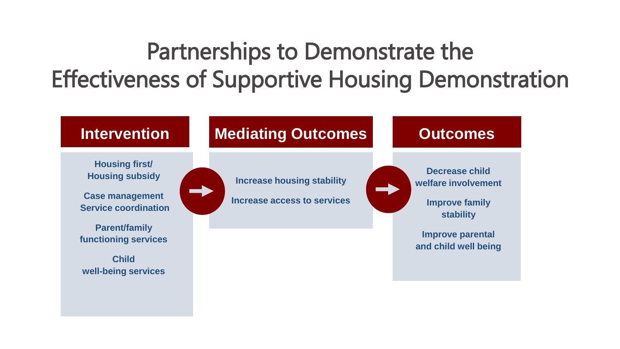# Partnerships to Demonstrate the Effectiveness of Supportive Housing Demonstration

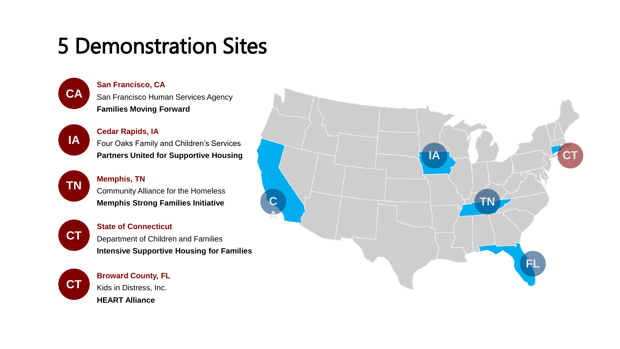# 5 Demonstration Sites



**San Francisco, CA** San Francisco Human Services Agency **Families Moving Forward**



### **Cedar Rapids, IA** Four Oaks Family and Children's Services **Partners United for Supportive Housing**

### **TN Memphis, TN** Community Alliance for the Homeless **Memphis Strong Families Initiative**

**CT**

### **State of Connecticut**

Department of Children and Families **Intensive Supportive Housing for Families**

**CT**



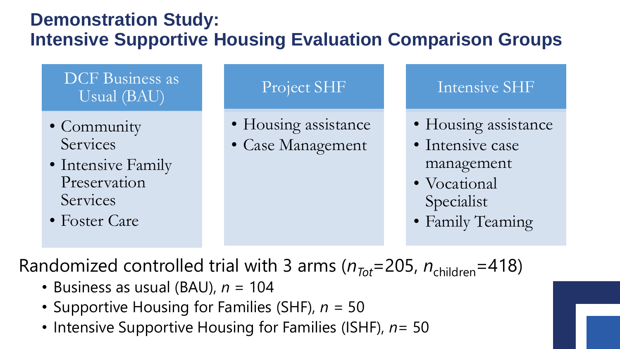### **Demonstration Study: Intensive Supportive Housing Evaluation Comparison Groups**

### DCF Business as Usual (BAU)

- Community Services
- Intensive Family Preservation **Services**
- Foster Care

### Project SHF

- Housing assistance
- Case Management

### Intensive SHF

- Housing assistance
- Intensive case management
- Vocational Specialist
- Family Teaming

Randomized controlled trial with 3 arms  $(n_{Tot} = 205, n_{children} = 418)$ 

- Business as usual (BAU),  $n = 104$
- Supportive Housing for Families (SHF), *n* = 50
- Intensive Supportive Housing for Families (ISHF), *n*= 50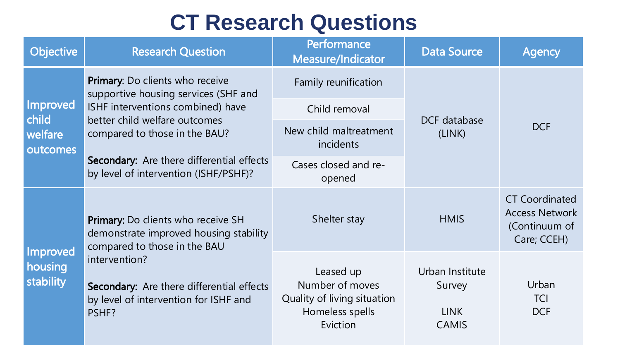## **CT Research Questions**

| <b>Objective</b>                                | <b>Research Question</b>                                                                                                                                                                                                            | Performance<br>Measure/Indicator                                                           | <b>Data Source</b>                                       | <b>Agency</b>                                                                  |
|-------------------------------------------------|-------------------------------------------------------------------------------------------------------------------------------------------------------------------------------------------------------------------------------------|--------------------------------------------------------------------------------------------|----------------------------------------------------------|--------------------------------------------------------------------------------|
| <b>Improved</b><br>child<br>welfare<br>outcomes | Primary: Do clients who receive<br>supportive housing services (SHF and<br>ISHF interventions combined) have<br>better child welfare outcomes<br>compared to those in the BAU?                                                      | Family reunification                                                                       | DCF database<br>(LINK)                                   | <b>DCF</b>                                                                     |
|                                                 |                                                                                                                                                                                                                                     | Child removal                                                                              |                                                          |                                                                                |
|                                                 |                                                                                                                                                                                                                                     | New child maltreatment<br>incidents                                                        |                                                          |                                                                                |
|                                                 | Secondary: Are there differential effects<br>by level of intervention (ISHF/PSHF)?                                                                                                                                                  | Cases closed and re-<br>opened                                                             |                                                          |                                                                                |
| Improved<br>housing<br>stability                | <b>Primary: Do clients who receive SH</b><br>demonstrate improved housing stability<br>compared to those in the BAU<br>intervention?<br>Secondary: Are there differential effects<br>by level of intervention for ISHF and<br>PSHF? | Shelter stay                                                                               | <b>HMIS</b>                                              | <b>CT Coordinated</b><br><b>Access Network</b><br>(Continuum of<br>Care; CCEH) |
|                                                 |                                                                                                                                                                                                                                     | Leased up<br>Number of moves<br>Quality of living situation<br>Homeless spells<br>Eviction | Urban Institute<br>Survey<br><b>LINK</b><br><b>CAMIS</b> | Urban<br><b>TCI</b><br><b>DCF</b>                                              |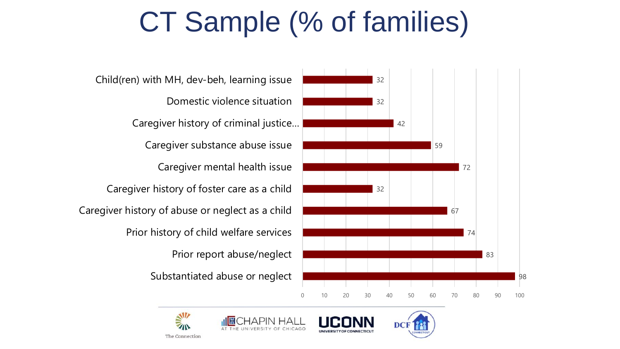# CT Sample (% of families)

Substantiated abuse or neglect Prior report abuse/neglect Prior history of child welfare services Caregiver history of abuse or neglect as a child Caregiver history of foster care as a child Caregiver mental health issue Caregiver substance abuse issue Caregiver history of criminal justice… Domestic violence situation Child(ren) with MH, dev-beh, learning issue









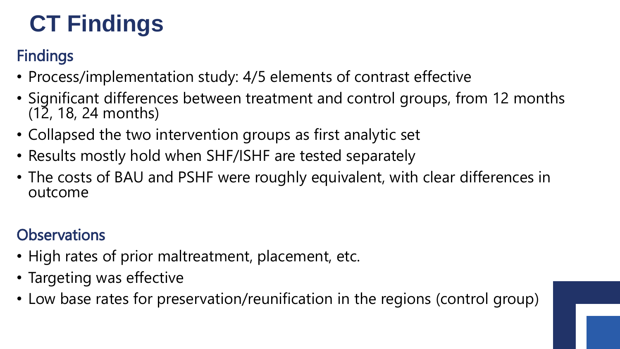# **CT Findings**

### **Findings**

- Process/implementation study: 4/5 elements of contrast effective
- Significant differences between treatment and control groups, from 12 months (12, 18, 24 months)
- Collapsed the two intervention groups as first analytic set
- Results mostly hold when SHF/ISHF are tested separately
- The costs of BAU and PSHF were roughly equivalent, with clear differences in outcome

## **Observations**

- High rates of prior maltreatment, placement, etc.
- Targeting was effective
- Low base rates for preservation/reunification in the regions (control group)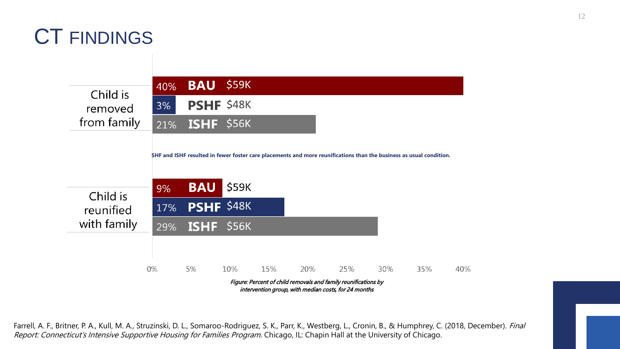## CT FINDINGS

\$59K **BAU** 40% Child is **PSHF \$48K**  $3%$ removed from family ISHF \$56K 21% **SHF and ISHF resulted in fewer foster care placements and more reunifications than the business as usual condition. BAU**  $\frac{1}{2}$ \$59K 9% Child is **PSHF \$48K** 17% reunified with family ISHF \$56K 29% 0% 5% 10% 15% 20% 25% 30% 35% 40% Figure: Percent of child removals and family reunifications by intervention group, with median costs, for 24 months

Farrell, A. F., Britner, P. A., Kull, M. A., Struzinski, D. L., Somaroo-Rodriguez, S. K., Parr, K., Westberg, L., Cronin, B., & Humphrey, C. (2018, December). Final Report: Connecticut's Intensive Supportive Housing for Families Program. Chicago, IL: Chapin Hall at the University of Chicago.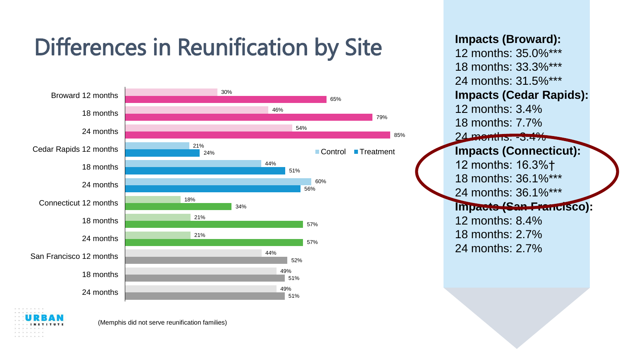# Differences in Reunification by Site



(Memphis did not serve reunification families)

**Impacts (Broward):** 12 months: 35.0%\*\*\* 18 months: 33.3%\*\*\* 24 months: 31.5%\*\*\* **Impacts (Cedar Rapids):** 12 months: 3.4% 18 months: 7.7% 24 months. -3.4% **Impacts (Connecticut):** 12 months: 16.3%† 18 months: 36.1%\*\*\* 24 months: 36.1%\*\*\* **Impacts (San Francisco):** 12 months: 8.4% 18 months: 2.7% 24 months: 2.7%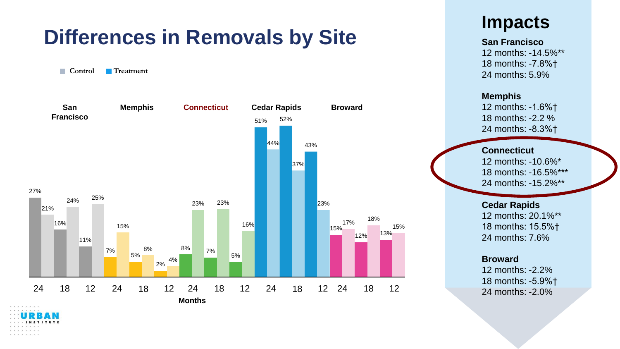## **Differences in Removals by Site**

**Control Treatment**



### **Impacts**

#### **San Francisco**

12 months: -14.5%\*\* 18 months: -7.8%† 24 months: 5.9%

#### **Memphis**

12 months: -1.6%† 18 months: -2.2 % 24 months: -8.3%†

#### **Connecticut**

12 months: -10.6%\* 18 months: -16.5%\*\*\* 24 months: -15.2%\*\*

#### **Cedar Rapids**

12 months: 20.1%\*\* 18 months: 15.5%† 24 months: 7.6%

#### **Broward**

12 months: -2.2% 18 months: -5.9%† 24 months: -2.0%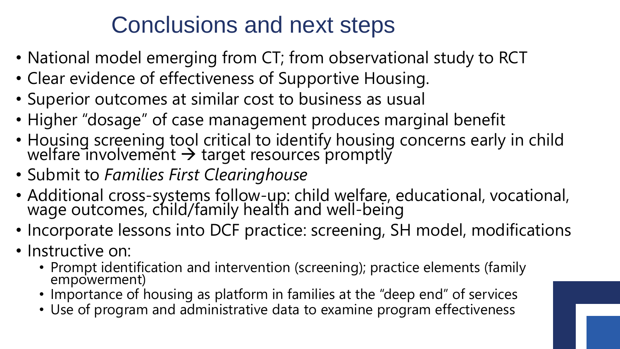# Conclusions and next steps

- National model emerging from CT; from observational study to RCT
- Clear evidence of effectiveness of Supportive Housing.
- Superior outcomes at similar cost to business as usual
- Higher "dosage" of case management produces marginal benefit
- Housing screening tool critical to identify housing concerns early in child welfare involvement  $\rightarrow$  target resources promptly
- Submit to *Families First Clearinghouse*
- Additional cross-systems follow-up: child welfare, educational, vocational, wage outcomes, child/family health and well-being
- Incorporate lessons into DCF practice: screening, SH model, modifications
- Instructive on:
	- Prompt identification and intervention (screening); practice elements (family empowerment)
	- Importance of housing as platform in families at the "deep end" of services
	- Use of program and administrative data to examine program effectiveness